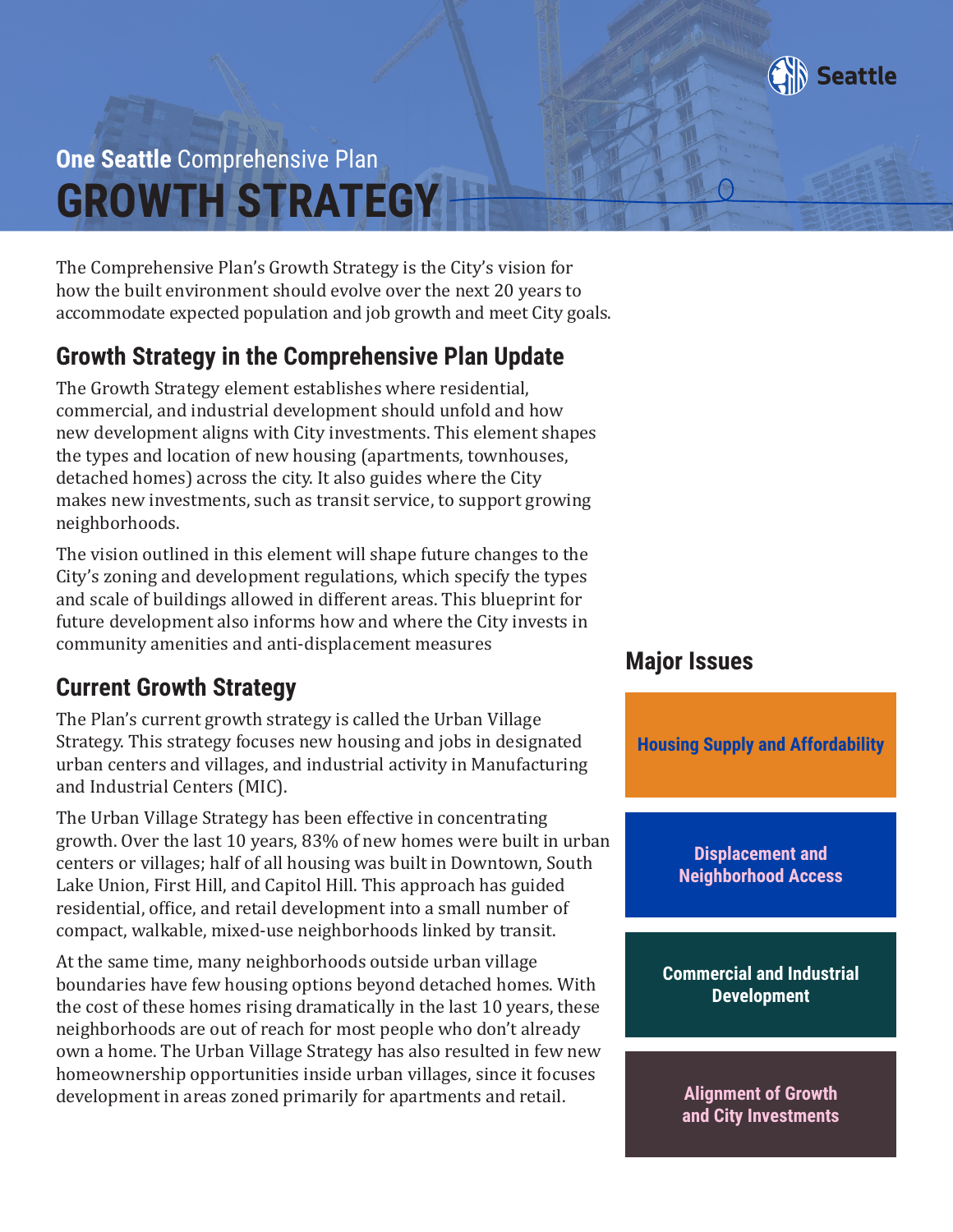

# **GROWTH STRATEGY One Seattle** Comprehensive Plan

The Comprehensive Plan's Growth Strategy is the City's vision for how the built environment should evolve over the next 20 years to accommodate expected population and job growth and meet City goals.

# **Growth Strategy in the Comprehensive Plan Update**

The Growth Strategy element establishes where residential, commercial, and industrial development should unfold and how new development aligns with City investments. This element shapes the types and location of new housing (apartments, townhouses, detached homes) across the city. It also guides where the City makes new investments, such as transit service, to support growing neighborhoods.

The vision outlined in this element will shape future changes to the City's zoning and development regulations, which specify the types and scale of buildings allowed in different areas. This blueprint for future development also informs how and where the City invests in community amenities and anti-displacement measures

# **Current Growth Strategy**

The Plan's current growth strategy is called the Urban Village Strategy. This strategy focuses new housing and jobs in designated urban centers and villages, and industrial activity in Manufacturing and Industrial Centers (MIC).

The Urban Village Strategy has been effective in concentrating growth. Over the last 10 years, 83% of new homes were built in urban centers or villages; half of all housing was built in Downtown, South Lake Union, First Hill, and Capitol Hill. This approach has guided residential, office, and retail development into a small number of compact, walkable, mixed-use neighborhoods linked by transit.

At the same time, many neighborhoods outside urban village boundaries have few housing options beyond detached homes. With the cost of these homes rising dramatically in the last 10 years, these neighborhoods are out of reach for most people who don't already own a home. The Urban Village Strategy has also resulted in few new homeownership opportunities inside urban villages, since it focuses development in areas zoned primarily for apartments and retail.

### **Major Issues**

**Displacement and Neighborhood Access Commercial and Industrial Development Alignment of Growth and City Investments Housing Supply and Affordability**